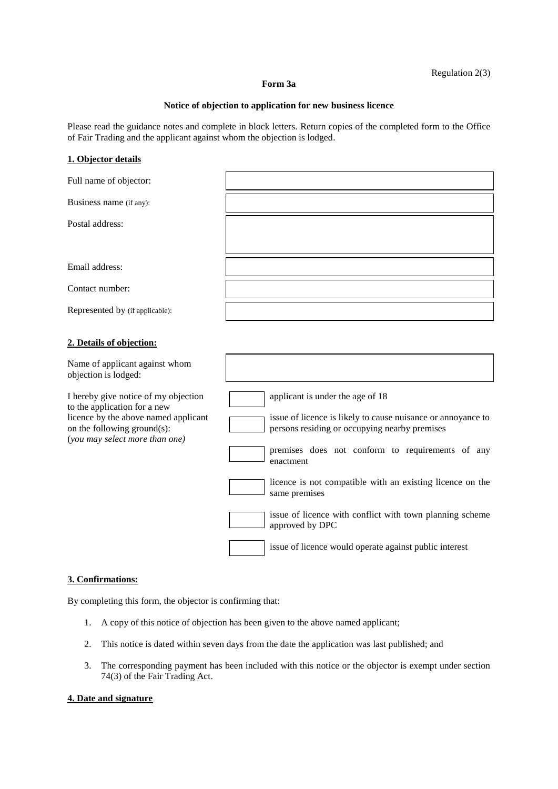# Regulation 2(3)

#### **Form 3a**

### **Notice of objection to application for new business licence**

Please read the guidance notes and complete in block letters. Return copies of the completed form to the Office of Fair Trading and the applicant against whom the objection is lodged.

## **1. Objector details**

| Full name of objector:                                                                                                                                                        |                                                                                                                                                                                                                    |
|-------------------------------------------------------------------------------------------------------------------------------------------------------------------------------|--------------------------------------------------------------------------------------------------------------------------------------------------------------------------------------------------------------------|
| Business name (if any):                                                                                                                                                       |                                                                                                                                                                                                                    |
| Postal address:                                                                                                                                                               |                                                                                                                                                                                                                    |
|                                                                                                                                                                               |                                                                                                                                                                                                                    |
| Email address:                                                                                                                                                                |                                                                                                                                                                                                                    |
| Contact number:                                                                                                                                                               |                                                                                                                                                                                                                    |
| Represented by (if applicable):                                                                                                                                               |                                                                                                                                                                                                                    |
| 2. Details of objection:                                                                                                                                                      |                                                                                                                                                                                                                    |
| Name of applicant against whom<br>objection is lodged:                                                                                                                        |                                                                                                                                                                                                                    |
| I hereby give notice of my objection<br>to the application for a new<br>licence by the above named applicant<br>on the following ground(s):<br>(you may select more than one) | applicant is under the age of 18<br>issue of licence is likely to cause nuisance or annoyance to<br>persons residing or occupying nearby premises<br>premises does not conform to requirements of any<br>enactment |
|                                                                                                                                                                               | licence is not compatible with an existing licence on the<br>same premises                                                                                                                                         |
|                                                                                                                                                                               | issue of licence with conflict with town planning scheme<br>approved by DPC                                                                                                                                        |
|                                                                                                                                                                               | issue of licence would operate against public interest                                                                                                                                                             |

### **3. Confirmations:**

By completing this form, the objector is confirming that:

- 1. A copy of this notice of objection has been given to the above named applicant;
- 2. This notice is dated within seven days from the date the application was last published; and
- 3. The corresponding payment has been included with this notice or the objector is exempt under section 74(3) of the Fair Trading Act.

### **4. Date and signature**